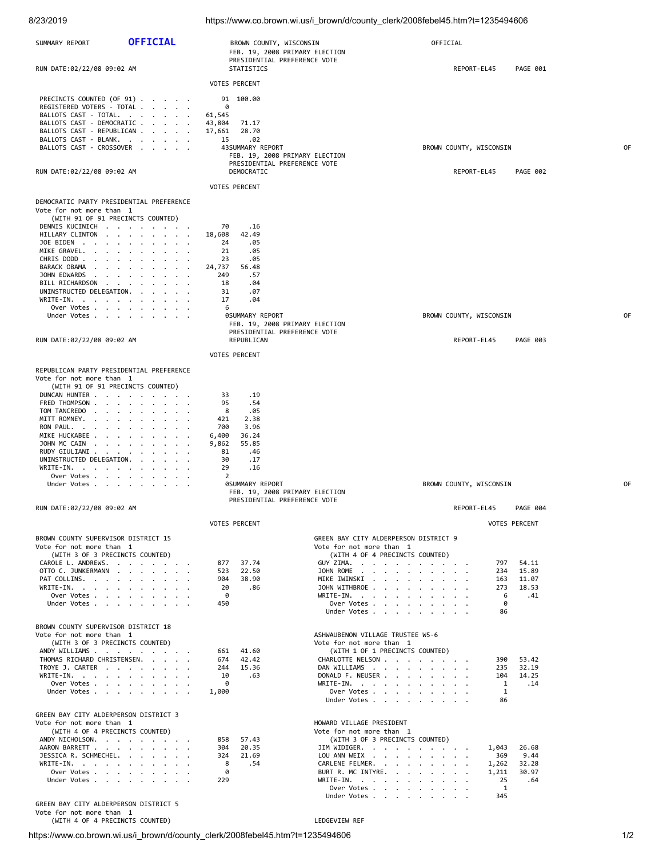| 8/23/2019                                                                                                                                                                                                                                                                           |                                                                            |                                                                                                                                             | https://www.co.brown.wi.us/i_brown/d/county_clerk/2008febel45.htm?t=1235494606                                                                                                                             |                                       |                                                                        |    |  |
|-------------------------------------------------------------------------------------------------------------------------------------------------------------------------------------------------------------------------------------------------------------------------------------|----------------------------------------------------------------------------|---------------------------------------------------------------------------------------------------------------------------------------------|------------------------------------------------------------------------------------------------------------------------------------------------------------------------------------------------------------|---------------------------------------|------------------------------------------------------------------------|----|--|
| SUMMARY REPORT                                                                                                                                                                                                                                                                      | <b>OFFICIAL</b>                                                            | BROWN COUNTY, WISCONSIN<br>FEB. 19, 2008 PRIMARY ELECTION<br>PRESIDENTIAL PREFERENCE VOTE                                                   |                                                                                                                                                                                                            | OFFICIAL                              |                                                                        |    |  |
| RUN DATE:02/22/08 09:02 AM                                                                                                                                                                                                                                                          |                                                                            | STATISTICS                                                                                                                                  |                                                                                                                                                                                                            | REPORT-EL45                           | PAGE 001                                                               |    |  |
| PRECINCTS COUNTED (OF 91)<br>REGISTERED VOTERS - TOTAL<br>BALLOTS CAST - TOTAL.<br>BALLOTS CAST - DEMOCRATIC                                                                                                                                                                        |                                                                            | <b>VOTES PERCENT</b><br>91 100.00<br>0<br>61,545<br>43,804<br>71.17                                                                         |                                                                                                                                                                                                            |                                       |                                                                        |    |  |
| BALLOTS CAST - REPUBLICAN<br>BALLOTS CAST - BLANK.<br>BALLOTS CAST - CROSSOVER                                                                                                                                                                                                      |                                                                            | 28.70<br>17,661<br>15<br>.02<br>43SUMMARY REPORT<br>FEB. 19, 2008 PRIMARY ELECTION<br>PRESIDENTIAL PREFERENCE VOTE                          |                                                                                                                                                                                                            | BROWN COUNTY, WISCONSIN               |                                                                        | 0F |  |
| RUN DATE:02/22/08 09:02 AM                                                                                                                                                                                                                                                          |                                                                            | DEMOCRATIC<br><b>VOTES PERCENT</b>                                                                                                          |                                                                                                                                                                                                            | REPORT-EL45                           | PAGE 002                                                               |    |  |
| DEMOCRATIC PARTY PRESIDENTIAL PREFERENCE<br>Vote for not more than 1<br>(WITH 91 OF 91 PRECINCTS COUNTED)<br>DENNIS KUCINICH<br>HILLARY CLINTON<br>JOE BIDEN<br>MIKE GRAVEL.<br>CHRIS DODD<br>BARACK OBAMA<br>JOHN EDWARDS<br>BILL RICHARDSON<br>UNINSTRUCTED DELEGATION.           | the contract of the contract of the<br>the contract of the contract of the | 70<br>.16<br>42.49<br>18,608<br>24<br>.05<br>21<br>.05<br>23<br>.05<br>24,737<br>56.48<br>249<br>.57<br>.04<br>18<br>31<br>.07              |                                                                                                                                                                                                            |                                       |                                                                        |    |  |
| WRITE-IN.                                                                                                                                                                                                                                                                           | Over Votes                                                                 | 17<br>.04<br>6                                                                                                                              |                                                                                                                                                                                                            |                                       |                                                                        | 0F |  |
|                                                                                                                                                                                                                                                                                     | Under Votes                                                                | <b>ØSUMMARY REPORT</b><br>FEB. 19, 2008 PRIMARY ELECTION<br>PRESIDENTIAL PREFERENCE VOTE                                                    |                                                                                                                                                                                                            | BROWN COUNTY, WISCONSIN               |                                                                        |    |  |
| RUN DATE:02/22/08 09:02 AM                                                                                                                                                                                                                                                          |                                                                            | REPUBLICAN<br><b>VOTES PERCENT</b>                                                                                                          |                                                                                                                                                                                                            | REPORT-EL45                           | PAGE 003                                                               |    |  |
| REPUBLICAN PARTY PRESIDENTIAL PREFERENCE<br>Vote for not more than 1<br>(WITH 91 OF 91 PRECINCTS COUNTED)<br>DUNCAN HUNTER<br>FRED THOMPSON<br>TOM TANCREDO<br>MITT ROMNEY.<br>RON PAUL.<br>MIKE HUCKABEE<br>JOHN MC CAIN<br>RUDY GIULIANI<br>UNINSTRUCTED DELEGATION.<br>WRITE-IN. |                                                                            | .19<br>33<br>.54<br>95<br>8<br>.05<br>421<br>2.38<br>700<br>3.96<br>36.24<br>6,400<br>9,862<br>55.85<br>81<br>.46<br>30<br>.17<br>29<br>.16 |                                                                                                                                                                                                            |                                       |                                                                        |    |  |
|                                                                                                                                                                                                                                                                                     | Over Votes $\cdots$ $\cdots$ $\cdots$ $\cdots$<br>Under Votes.             | 2<br><b>ØSUMMARY REPORT</b><br>FEB. 19, 2008 PRIMARY ELECTION                                                                               |                                                                                                                                                                                                            | BROWN COUNTY, WISCONSIN               | 0F                                                                     |    |  |
| RUN DATE:02/22/08 09:02 AM                                                                                                                                                                                                                                                          |                                                                            | PRESIDENTIAL PREFERENCE VOTE                                                                                                                |                                                                                                                                                                                                            | REPORT-EL45                           | PAGE 004                                                               |    |  |
|                                                                                                                                                                                                                                                                                     |                                                                            | <b>VOTES PERCENT</b>                                                                                                                        |                                                                                                                                                                                                            |                                       | <b>VOTES PERCENT</b>                                                   |    |  |
| BROWN COUNTY SUPERVISOR DISTRICT 15<br>Vote for not more than 1<br>(WITH 3 OF 3 PRECINCTS COUNTED)<br>CAROLE L. ANDREWS.<br>OTTO C. JUNKERMANN<br>PAT COLLINS.<br>WRITE-IN.                                                                                                         | Over Votes<br>Under Votes.                                                 | 37.74<br>877<br>523<br>22.50<br>904<br>38.90<br>20<br>.86<br>0<br>450                                                                       | GREEN BAY CITY ALDERPERSON DISTRICT 9<br>Vote for not more than 1<br>(WITH 4 OF 4 PRECINCTS COUNTED)<br>GUY ZIMA.<br>JOHN ROME<br>MIKE IWINSKI<br>JOHN WITHBROE<br>WRITE-IN.<br>Over Votes<br>Under Votes  | 797<br>163                            | 54.11<br>15.89<br>234<br>11.07<br>273<br>18.53<br>-6<br>.41<br>0<br>86 |    |  |
| BROWN COUNTY SUPERVISOR DISTRICT 18<br>Vote for not more than 1<br>(WITH 3 OF 3 PRECINCTS COUNTED)<br>ANDY WILLIAMS<br>THOMAS RICHARD CHRISTENSEN.<br>TROYE J. CARTER<br>WRITE-IN.                                                                                                  | Over Votes<br>Under Votes                                                  | 41.60<br>661<br>42.42<br>674<br>244<br>15.36<br>10<br>.63<br>0<br>1,000                                                                     | ASHWAUBENON VILLAGE TRUSTEE W5-6<br>Vote for not more than 1<br>(WITH 1 OF 1 PRECINCTS COUNTED)<br>CHARLOTTE NELSON<br>DAN WILLIAMS<br>DONALD F. NEUSER<br>WRITE-IN.<br>Over Votes<br>Under Votes          | 235<br>104                            | 53.42<br>390<br>32.19<br>14.25<br>1<br>.14<br>1<br>86                  |    |  |
| GREEN BAY CITY ALDERPERSON DISTRICT 3<br>Vote for not more than 1<br>(WITH 4 OF 4 PRECINCTS COUNTED)<br>ANDY NICHOLSON.<br>AARON BARRETT<br>JESSICA R. SCHMECHEL.<br>WRITE-IN.<br>GREEN BAY CITY ALDERPERSON DISTRICT 5                                                             | Over Votes<br>Under Votes                                                  | 57.43<br>858<br>304<br>20.35<br>324<br>21.69<br>8<br>.54<br>0<br>229                                                                        | HOWARD VILLAGE PRESIDENT<br>Vote for not more than 1<br>(WITH 3 OF 3 PRECINCTS COUNTED)<br>JIM WIDIGER.<br>LOU ANN WEIX<br>CARLENE FELMER.<br>BURT R. MC INTYRE.<br>WRITE-IN.<br>Over Votes<br>Under Votes | 1,043<br>369<br>1,262<br>1,211<br>345 | 26.68<br>9.44<br>32.28<br>30.97<br>25<br>.64<br>1                      |    |  |
| Vote for not more than 1<br>(WITH 4 OF 4 PRECINCTS COUNTED)                                                                                                                                                                                                                         |                                                                            |                                                                                                                                             | LEDGEVIEW REF                                                                                                                                                                                              |                                       |                                                                        |    |  |

https://www.co.brown.wi.us/i\_brown/d/county\_clerk/2008febel45.htm?t=1235494606 1/2